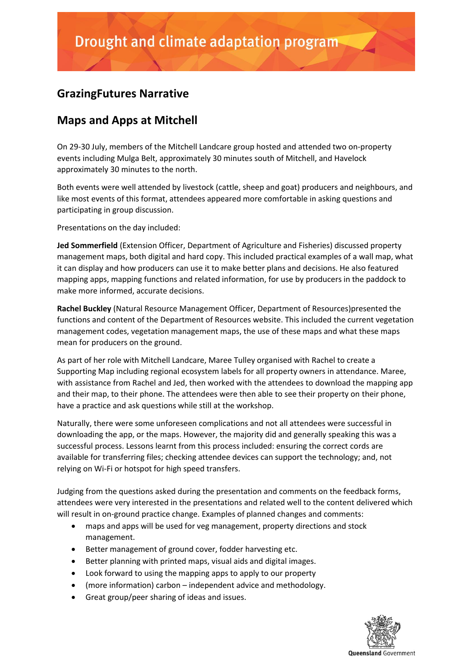## **GrazingFutures Narrative**

## **Maps and Apps at Mitchell**

On 29-30 July, members of the Mitchell Landcare group hosted and attended two on-property events including Mulga Belt, approximately 30 minutes south of Mitchell, and Havelock approximately 30 minutes to the north.

Both events were well attended by livestock (cattle, sheep and goat) producers and neighbours, and like most events of this format, attendees appeared more comfortable in asking questions and participating in group discussion.

Presentations on the day included:

**Jed Sommerfield** (Extension Officer, Department of Agriculture and Fisheries) discussed property management maps, both digital and hard copy. This included practical examples of a wall map, what it can display and how producers can use it to make better plans and decisions. He also featured mapping apps, mapping functions and related information, for use by producers in the paddock to make more informed, accurate decisions.

**Rachel Buckley** (Natural Resource Management Officer, Department of Resources)presented the functions and content of the Department of Resources website. This included the current vegetation management codes, vegetation management maps, the use of these maps and what these maps mean for producers on the ground.

As part of her role with Mitchell Landcare, Maree Tulley organised with Rachel to create a Supporting Map including regional ecosystem labels for all property owners in attendance. Maree, with assistance from Rachel and Jed, then worked with the attendees to download the mapping app and their map, to their phone. The attendees were then able to see their property on their phone, have a practice and ask questions while still at the workshop.

Naturally, there were some unforeseen complications and not all attendees were successful in downloading the app, or the maps. However, the majority did and generally speaking this was a successful process. Lessons learnt from this process included: ensuring the correct cords are available for transferring files; checking attendee devices can support the technology; and, not relying on Wi-Fi or hotspot for high speed transfers.

Judging from the questions asked during the presentation and comments on the feedback forms, attendees were very interested in the presentations and related well to the content delivered which will result in on-ground practice change. Examples of planned changes and comments:

- maps and apps will be used for veg management, property directions and stock management.
- Better management of ground cover, fodder harvesting etc.
- Better planning with printed maps, visual aids and digital images.
- Look forward to using the mapping apps to apply to our property
- (more information) carbon independent advice and methodology.
- Great group/peer sharing of ideas and issues.

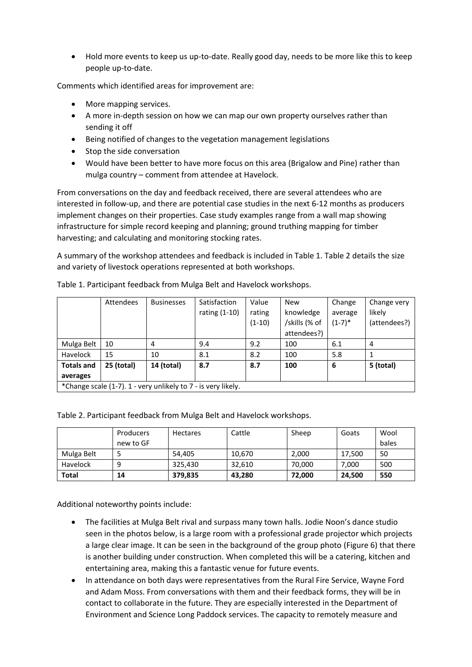• Hold more events to keep us up-to-date. Really good day, needs to be more like this to keep people up-to-date.

Comments which identified areas for improvement are:

- More mapping services.
- A more in-depth session on how we can map our own property ourselves rather than sending it off
- Being notified of changes to the vegetation management legislations
- Stop the side conversation
- Would have been better to have more focus on this area (Brigalow and Pine) rather than mulga country – comment from attendee at Havelock.

From conversations on the day and feedback received, there are several attendees who are interested in follow-up, and there are potential case studies in the next 6-12 months as producers implement changes on their properties. Case study examples range from a wall map showing infrastructure for simple record keeping and planning; ground truthing mapping for timber harvesting; and calculating and monitoring stocking rates.

A summary of the workshop attendees and feedback is included in Table 1. Table 2 details the size and variety of livestock operations represented at both workshops.

|                                                               | Attendees  | <b>Businesses</b> | Satisfaction  | Value    | <b>New</b>    | Change   | Change very    |  |  |  |  |
|---------------------------------------------------------------|------------|-------------------|---------------|----------|---------------|----------|----------------|--|--|--|--|
|                                                               |            |                   | rating (1-10) | rating   | knowledge     | average  | likely         |  |  |  |  |
|                                                               |            |                   |               | $(1-10)$ | /skills (% of | $(1-7)*$ | (attendees?)   |  |  |  |  |
|                                                               |            |                   |               |          | attendees?)   |          |                |  |  |  |  |
| Mulga Belt                                                    | 10         | 4                 | 9.4           | 9.2      | 100           | 6.1      | $\overline{4}$ |  |  |  |  |
| Havelock                                                      | 15         | 10                | 8.1           | 8.2      | 100           | 5.8      |                |  |  |  |  |
| <b>Totals and</b>                                             | 25 (total) | 14 (total)        | 8.7           | 8.7      | 100           | 6        | 5 (total)      |  |  |  |  |
| averages                                                      |            |                   |               |          |               |          |                |  |  |  |  |
| *Change scale (1-7). 1 - very unlikely to 7 - is very likely. |            |                   |               |          |               |          |                |  |  |  |  |

Table 1. Participant feedback from Mulga Belt and Havelock workshops.

|              | Producers | <b>Hectares</b> | Cattle | Sheep  | Goats  | Wool  |
|--------------|-----------|-----------------|--------|--------|--------|-------|
|              | new to GF |                 |        |        |        | bales |
| Mulga Belt   |           | 54.405          | 10,670 | 2,000  | 17.500 | 50    |
| Havelock     |           | 325.430         | 32.610 | 70,000 | 7,000  | 500   |
| <b>Total</b> | 14        | 379,835         | 43,280 | 72,000 | 24,500 | 550   |

Table 2. Participant feedback from Mulga Belt and Havelock workshops.

Additional noteworthy points include:

- The facilities at Mulga Belt rival and surpass many town halls. Jodie Noon's dance studio seen in the photos below, is a large room with a professional grade projector which projects a large clear image. It can be seen in the background of the group photo (Figure 6) that there is another building under construction. When completed this will be a catering, kitchen and entertaining area, making this a fantastic venue for future events.
- In attendance on both days were representatives from the Rural Fire Service, Wayne Ford and Adam Moss. From conversations with them and their feedback forms, they will be in contact to collaborate in the future. They are especially interested in the Department of Environment and Science Long Paddock services. The capacity to remotely measure and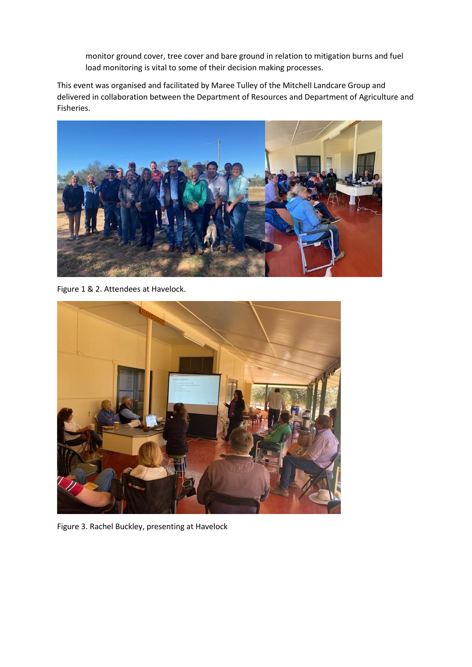monitor ground cover, tree cover and bare ground in relation to mitigation burns and fuel load monitoring is vital to some of their decision making processes.

This event was organised and facilitated by Maree Tulley of the Mitchell Landcare Group and delivered in collaboration between the Department of Resources and Department of Agriculture and Fisheries.



Figure 1 & 2. Attendees at Havelock.



Figure 3. Rachel Buckley, presenting at Havelock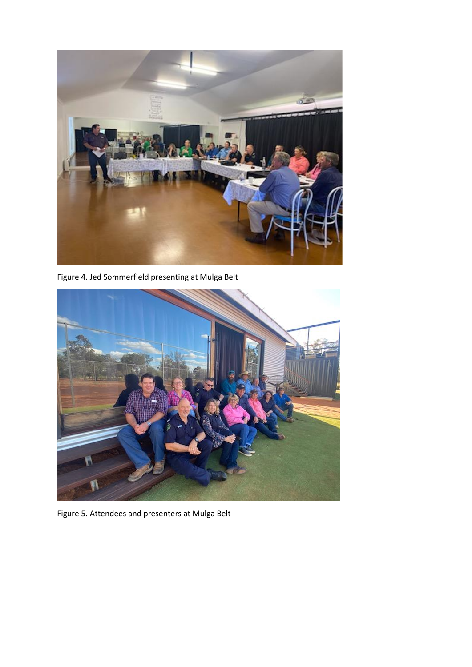

Figure 4. Jed Sommerfield presenting at Mulga Belt



Figure 5. Attendees and presenters at Mulga Belt